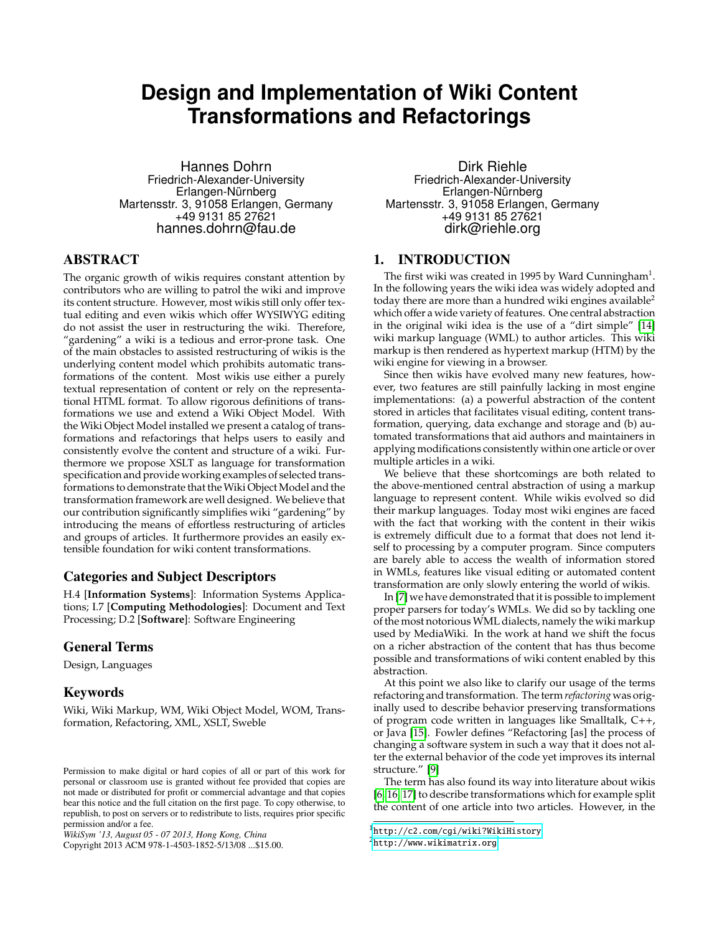# **Design and Implementation of Wiki Content Transformations and Refactorings**

Hannes Dohrn Friedrich-Alexander-University Erlangen-Nürnberg Martensstr. 3, 91058 Erlangen, Germany +49 9131 85 27621 hannes.dohrn@fau.de

# ABSTRACT

The organic growth of wikis requires constant attention by contributors who are willing to patrol the wiki and improve its content structure. However, most wikis still only offer textual editing and even wikis which offer WYSIWYG editing do not assist the user in restructuring the wiki. Therefore, "gardening" a wiki is a tedious and error-prone task. One of the main obstacles to assisted restructuring of wikis is the underlying content model which prohibits automatic transformations of the content. Most wikis use either a purely textual representation of content or rely on the representational HTML format. To allow rigorous definitions of transformations we use and extend a Wiki Object Model. With the Wiki Object Model installed we present a catalog of transformations and refactorings that helps users to easily and consistently evolve the content and structure of a wiki. Furthermore we propose XSLT as language for transformation specification and provide working examples of selected transformations to demonstrate that the Wiki Object Model and the transformation framework are well designed. We believe that our contribution significantly simplifies wiki "gardening" by introducing the means of effortless restructuring of articles and groups of articles. It furthermore provides an easily extensible foundation for wiki content transformations.

# Categories and Subject Descriptors

H.4 [**Information Systems**]: Information Systems Applications; I.7 [**Computing Methodologies**]: Document and Text Processing; D.2 [**Software**]: Software Engineering

### General Terms

Design, Languages

### Keywords

Wiki, Wiki Markup, WM, Wiki Object Model, WOM, Transformation, Refactoring, XML, XSLT, Sweble

Copyright 2013 ACM 978-1-4503-1852-5/13/08 ...\$15.00.

Dirk Riehle Friedrich-Alexander-University Erlangen-Nürnberg Martensstr. 3, 91058 Erlangen, Germany +49 9131 85 27621 dirk@riehle.org

# 1. INTRODUCTION

The first wiki was created in 1995 by Ward Cunningham $^1$ . In the following years the wiki idea was widely adopted and today there are more than a hundred wiki engines available<sup>2</sup> which offer a wide variety of features. One central abstraction in the original wiki idea is the use of a "dirt simple" [\[14\]](#page-9-0) wiki markup language (WML) to author articles. This wiki markup is then rendered as hypertext markup (HTM) by the wiki engine for viewing in a browser.

Since then wikis have evolved many new features, however, two features are still painfully lacking in most engine implementations: (a) a powerful abstraction of the content stored in articles that facilitates visual editing, content transformation, querying, data exchange and storage and (b) automated transformations that aid authors and maintainers in applying modifications consistently within one article or over multiple articles in a wiki.

We believe that these shortcomings are both related to the above-mentioned central abstraction of using a markup language to represent content. While wikis evolved so did their markup languages. Today most wiki engines are faced with the fact that working with the content in their wikis is extremely difficult due to a format that does not lend itself to processing by a computer program. Since computers are barely able to access the wealth of information stored in WMLs, features like visual editing or automated content transformation are only slowly entering the world of wikis.

In [\[7\]](#page-9-1) we have demonstrated that it is possible to implement proper parsers for today's WMLs. We did so by tackling one of the most notorious WML dialects, namely the wiki markup used by MediaWiki. In the work at hand we shift the focus on a richer abstraction of the content that has thus become possible and transformations of wiki content enabled by this abstraction.

At this point we also like to clarify our usage of the terms refactoring and transformation. The term *refactoring* was originally used to describe behavior preserving transformations of program code written in languages like Smalltalk, C++, or Java [\[15\]](#page-9-2). Fowler defines "Refactoring [as] the process of changing a software system in such a way that it does not alter the external behavior of the code yet improves its internal structure." [\[9\]](#page-9-3)

The term has also found its way into literature about wikis [\[6,](#page-9-4) [16,](#page-9-5) [17\]](#page-9-6) to describe transformations which for example split the content of one article into two articles. However, in the

Permission to make digital or hard copies of all or part of this work for personal or classroom use is granted without fee provided that copies are not made or distributed for profit or commercial advantage and that copies bear this notice and the full citation on the first page. To copy otherwise, to republish, to post on servers or to redistribute to lists, requires prior specific permission and/or a fee.

*WikiSym '13, August 05 - 07 2013, Hong Kong, China*

<sup>&</sup>lt;sup>1</sup><http://c2.com/cgi/wiki?WikiHistory>

<sup>2</sup> <http://www.wikimatrix.org>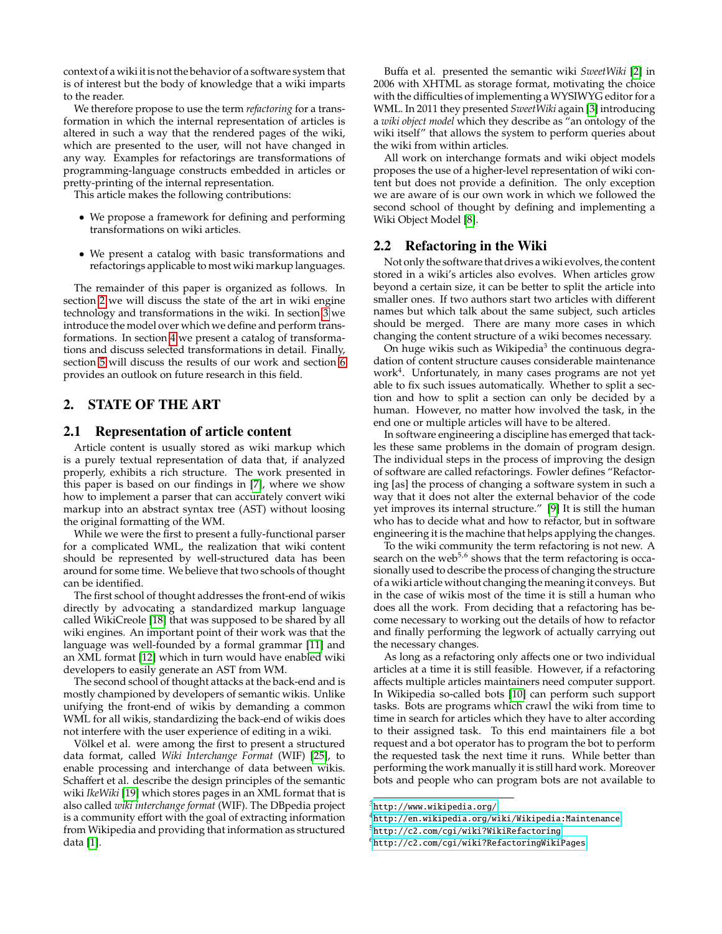context of a wiki it is not the behavior of a software system that is of interest but the body of knowledge that a wiki imparts to the reader.

We therefore propose to use the term *refactoring* for a transformation in which the internal representation of articles is altered in such a way that the rendered pages of the wiki, which are presented to the user, will not have changed in any way. Examples for refactorings are transformations of programming-language constructs embedded in articles or pretty-printing of the internal representation.

This article makes the following contributions:

- We propose a framework for defining and performing transformations on wiki articles.
- We present a catalog with basic transformations and refactorings applicable to most wiki markup languages.

The remainder of this paper is organized as follows. In section [2](#page-1-0) we will discuss the state of the art in wiki engine technology and transformations in the wiki. In section [3](#page-2-0) we introduce the model over which we define and perform transformations. In section [4](#page-4-0) we present a catalog of transformations and discuss selected transformations in detail. Finally, section [5](#page-8-0) will discuss the results of our work and section [6](#page-8-1) provides an outlook on future research in this field.

# <span id="page-1-0"></span>2. STATE OF THE ART

#### 2.1 Representation of article content

Article content is usually stored as wiki markup which is a purely textual representation of data that, if analyzed properly, exhibits a rich structure. The work presented in this paper is based on our findings in [\[7\]](#page-9-1), where we show how to implement a parser that can accurately convert wiki markup into an abstract syntax tree (AST) without loosing the original formatting of the WM.

While we were the first to present a fully-functional parser for a complicated WML, the realization that wiki content should be represented by well-structured data has been around for some time. We believe that two schools of thought can be identified.

The first school of thought addresses the front-end of wikis directly by advocating a standardized markup language called WikiCreole [\[18\]](#page-9-7) that was supposed to be shared by all wiki engines. An important point of their work was that the language was well-founded by a formal grammar [\[11\]](#page-9-8) and an XML format [\[12\]](#page-9-9) which in turn would have enabled wiki developers to easily generate an AST from WM.

The second school of thought attacks at the back-end and is mostly championed by developers of semantic wikis. Unlike unifying the front-end of wikis by demanding a common WML for all wikis, standardizing the back-end of wikis does not interfere with the user experience of editing in a wiki.

Völkel et al. were among the first to present a structured data format, called *Wiki Interchange Format* (WIF) [\[25\]](#page-9-10), to enable processing and interchange of data between wikis. Schaffert et al. describe the design principles of the semantic wiki *IkeWiki* [\[19\]](#page-9-11) which stores pages in an XML format that is also called *wiki interchange format* (WIF). The DBpedia project is a community effort with the goal of extracting information from Wikipedia and providing that information as structured data [\[1\]](#page-9-12).

Buffa et al. presented the semantic wiki *SweetWiki* [\[2\]](#page-9-13) in 2006 with XHTML as storage format, motivating the choice with the difficulties of implementing a WYSIWYG editor for a WML. In 2011 they presented *SweetWiki* again [\[3\]](#page-9-14) introducing a *wiki object model* which they describe as "an ontology of the wiki itself" that allows the system to perform queries about the wiki from within articles.

All work on interchange formats and wiki object models proposes the use of a higher-level representation of wiki content but does not provide a definition. The only exception we are aware of is our own work in which we followed the second school of thought by defining and implementing a Wiki Object Model [\[8\]](#page-9-15).

# 2.2 Refactoring in the Wiki

Not only the software that drives a wiki evolves, the content stored in a wiki's articles also evolves. When articles grow beyond a certain size, it can be better to split the article into smaller ones. If two authors start two articles with different names but which talk about the same subject, such articles should be merged. There are many more cases in which changing the content structure of a wiki becomes necessary.

On huge wikis such as Wikipedia<sup>3</sup> the continuous degradation of content structure causes considerable maintenance work<sup>4</sup> . Unfortunately, in many cases programs are not yet able to fix such issues automatically. Whether to split a section and how to split a section can only be decided by a human. However, no matter how involved the task, in the end one or multiple articles will have to be altered.

In software engineering a discipline has emerged that tackles these same problems in the domain of program design. The individual steps in the process of improving the design of software are called refactorings. Fowler defines "Refactoring [as] the process of changing a software system in such a way that it does not alter the external behavior of the code yet improves its internal structure." [\[9\]](#page-9-3) It is still the human who has to decide what and how to refactor, but in software engineering it is the machine that helps applying the changes.

To the wiki community the term refactoring is not new. A search on the web<sup>5,6</sup> shows that the term refactoring is occasionally used to describe the process of changing the structure of a wiki article without changing the meaning it conveys. But in the case of wikis most of the time it is still a human who does all the work. From deciding that a refactoring has become necessary to working out the details of how to refactor and finally performing the legwork of actually carrying out the necessary changes.

As long as a refactoring only affects one or two individual articles at a time it is still feasible. However, if a refactoring affects multiple articles maintainers need computer support. In Wikipedia so-called bots [\[10\]](#page-9-16) can perform such support tasks. Bots are programs which crawl the wiki from time to time in search for articles which they have to alter according to their assigned task. To this end maintainers file a bot request and a bot operator has to program the bot to perform the requested task the next time it runs. While better than performing the work manually it is still hard work. Moreover bots and people who can program bots are not available to

 $^3$ <http://www.wikipedia.org/>

<sup>4</sup> <http://en.wikipedia.org/wiki/Wikipedia:Maintenance>

<sup>&</sup>lt;sup>5</sup><http://c2.com/cgi/wiki?WikiRefactoring>

 $^6$ <http://c2.com/cgi/wiki?RefactoringWikiPages>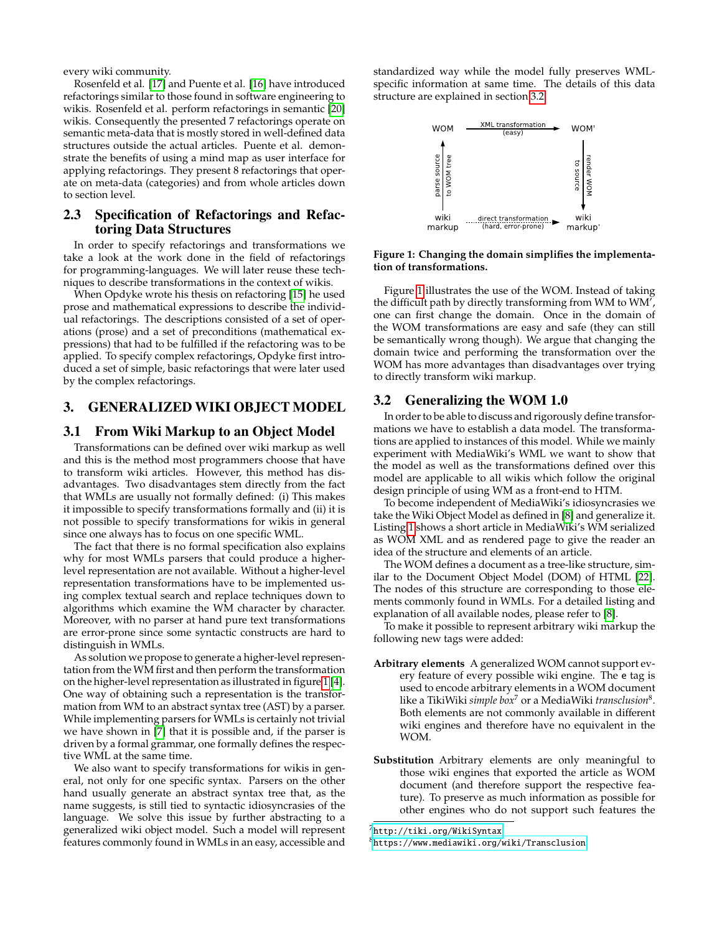every wiki community.

Rosenfeld et al. [\[17\]](#page-9-6) and Puente et al. [\[16\]](#page-9-5) have introduced refactorings similar to those found in software engineering to wikis. Rosenfeld et al. perform refactorings in semantic [\[20\]](#page-9-17) wikis. Consequently the presented 7 refactorings operate on semantic meta-data that is mostly stored in well-defined data structures outside the actual articles. Puente et al. demonstrate the benefits of using a mind map as user interface for applying refactorings. They present 8 refactorings that operate on meta-data (categories) and from whole articles down to section level.

#### 2.3 Specification of Refactorings and Refactoring Data Structures

In order to specify refactorings and transformations we take a look at the work done in the field of refactorings for programming-languages. We will later reuse these techniques to describe transformations in the context of wikis.

When Opdyke wrote his thesis on refactoring [\[15\]](#page-9-2) he used prose and mathematical expressions to describe the individual refactorings. The descriptions consisted of a set of operations (prose) and a set of preconditions (mathematical expressions) that had to be fulfilled if the refactoring was to be applied. To specify complex refactorings, Opdyke first introduced a set of simple, basic refactorings that were later used by the complex refactorings.

# <span id="page-2-0"></span>3. GENERALIZED WIKI OBJECT MODEL

#### 3.1 From Wiki Markup to an Object Model

Transformations can be defined over wiki markup as well and this is the method most programmers choose that have to transform wiki articles. However, this method has disadvantages. Two disadvantages stem directly from the fact that WMLs are usually not formally defined: (i) This makes it impossible to specify transformations formally and (ii) it is not possible to specify transformations for wikis in general since one always has to focus on one specific WML.

The fact that there is no formal specification also explains why for most WMLs parsers that could produce a higherlevel representation are not available. Without a higher-level representation transformations have to be implemented using complex textual search and replace techniques down to algorithms which examine the WM character by character. Moreover, with no parser at hand pure text transformations are error-prone since some syntactic constructs are hard to distinguish in WMLs.

As solution we propose to generate a higher-level representation from the WM first and then perform the transformation on the higher-level representation as illustrated in figure [1](#page-2-1) [\[4\]](#page-9-18). One way of obtaining such a representation is the transformation from WM to an abstract syntax tree (AST) by a parser. While implementing parsers for WMLs is certainly not trivial we have shown in [\[7\]](#page-9-1) that it is possible and, if the parser is driven by a formal grammar, one formally defines the respective WML at the same time.

We also want to specify transformations for wikis in general, not only for one specific syntax. Parsers on the other hand usually generate an abstract syntax tree that, as the name suggests, is still tied to syntactic idiosyncrasies of the language. We solve this issue by further abstracting to a generalized wiki object model. Such a model will represent features commonly found in WMLs in an easy, accessible and

standardized way while the model fully preserves WMLspecific information at same time. The details of this data structure are explained in section [3.2.](#page-2-2)

<span id="page-2-1"></span>

**Figure 1: Changing the domain simplifies the implementation of transformations.**

Figure [1](#page-2-1) illustrates the use of the WOM. Instead of taking the difficult path by directly transforming from WM to WM $\overset{\circ}{\prime}$ , one can first change the domain. Once in the domain of the WOM transformations are easy and safe (they can still be semantically wrong though). We argue that changing the domain twice and performing the transformation over the WOM has more advantages than disadvantages over trying to directly transform wiki markup.

# <span id="page-2-2"></span>3.2 Generalizing the WOM 1.0

In order to be able to discuss and rigorously define transformations we have to establish a data model. The transformations are applied to instances of this model. While we mainly experiment with MediaWiki's WML we want to show that the model as well as the transformations defined over this model are applicable to all wikis which follow the original design principle of using WM as a front-end to HTM.

To become independent of MediaWiki's idiosyncrasies we take the Wiki Object Model as defined in [\[8\]](#page-9-15) and generalize it. Listing [1](#page-3-0) shows a short article in MediaWiki's WM serialized as WOM XML and as rendered page to give the reader an idea of the structure and elements of an article.

The WOM defines a document as a tree-like structure, similar to the Document Object Model (DOM) of HTML [\[22\]](#page-9-19). The nodes of this structure are corresponding to those elements commonly found in WMLs. For a detailed listing and explanation of all available nodes, please refer to [\[8\]](#page-9-15).

To make it possible to represent arbitrary wiki markup the following new tags were added:

- **Arbitrary elements** A generalized WOM cannot support every feature of every possible wiki engine. The e tag is used to encode arbitrary elements in a WOM document like a TikiWiki *simple box*<sup>7</sup> or a MediaWiki *transclusion*<sup>8</sup> . Both elements are not commonly available in different wiki engines and therefore have no equivalent in the WOM.
- **Substitution** Arbitrary elements are only meaningful to those wiki engines that exported the article as WOM document (and therefore support the respective feature). To preserve as much information as possible for other engines who do not support such features the

 ${\rm ^7}$ <http://tiki.org/WikiSyntax>

 ${}^{8}$ <https://www.mediawiki.org/wiki/Transclusion>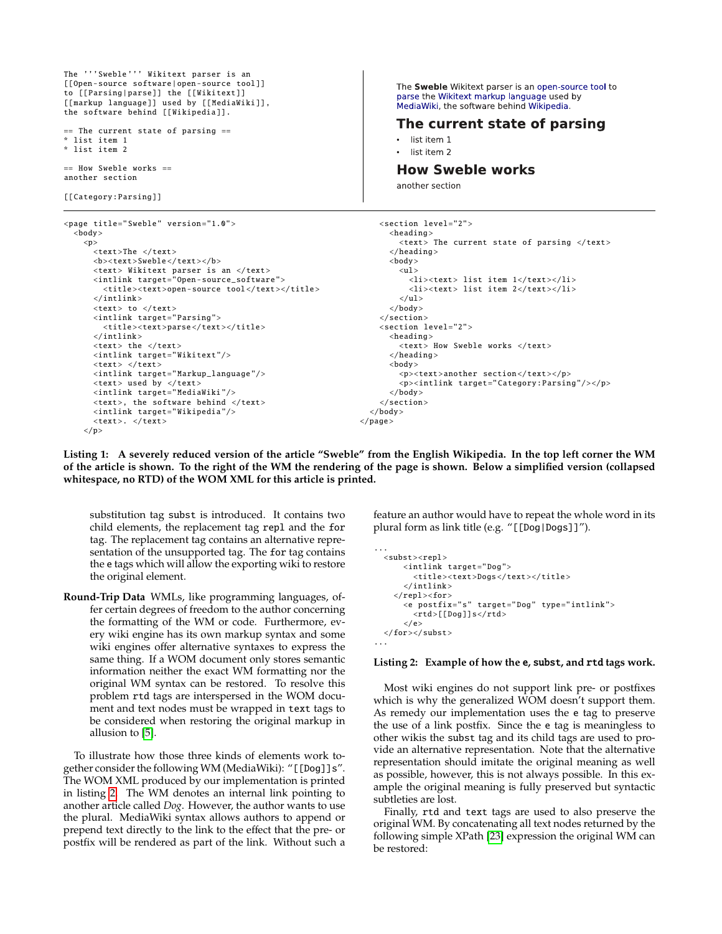```
The '''Sweble ''' Wikitext parser is an
[[Open -source software|open -source tool ]]
                                                                               The Sweble Wikitext parser is an open-source tool to
to [[Parsing|parse]] the [[Wikitext]]
                                                                               parse the Wikitext markup language used by
[[markup language]] used by [[MediaWiki]],
                                                                               MediaWiki, the software behind Wikipedia.
the software behind [[Wikipedia]].
                                                                               The current state of parsing
== The current state of parsing ==
* list item 1
                                                                               · list item 1
* list item 2
                                                                               · list item 2
== How Sweble works ==How Sweble works
another section
                                                                               another section
[[ Category :Parsing ]]
<page title="Sweble" version="1.0">
                                                                           <section level="2">
  <hody><heading >
    p\langle \text{text} \rangle The current state of parsing \langle \text{text} \rangle<text>The </text>
                                                                              </heading >
       <b>><text>Sweble</text></b>

                                                                               \langleul >
       <text> Wikitext parser is an </text><br><intlink target="Open-source_software">
                                                                                  <li><text> list item 1</text></li>
         <title><text>open-source tool</text></title>
                                                                                  <li><text> list item 2</text></li>
       \langle/intlink>
                                                                                \langle/ul \rangle<text> to </text>
                                                                             \langle/body>
      <intlink target="Parsing">
                                                                           </section >
         <title><text>parse</text></title>
                                                                           <section level="2">
       \langle/intlink>
                                                                             <heading >
       <text> the </text>
                                                                                <text> How Sweble works </text>
       <intlink target =" Wikitext "/>
                                                                             </heading >
       <text> </text>

       <intlink target =" Markup_language "/>
                                                                                <p><text>another section</text></p>
       <text> used by </text>
                                                                                .<br>
<p><intlink target="Category:Parsing"/></p>
       <intlink target =" MediaWiki "/>
                                                                             \langle/body>
       \langle \texttt{text} \rangle, the software behind \langle \texttt{text} \rangle</section >
       <intlink target =" Wikipedia "/>
                                                                        \langle/body>
       <text>. </text>
                                                                      \langle/page\rangle\langle/p>
```
<span id="page-3-0"></span>**Listing 1: A severely reduced version of the article "Sweble" from the English Wikipedia. In the top left corner the WM of the article is shown. To the right of the WM the rendering of the page is shown. Below a simplified version (collapsed whitespace, no RTD) of the WOM XML for this article is printed.**

substitution tag subst is introduced. It contains two child elements, the replacement tag repl and the for tag. The replacement tag contains an alternative representation of the unsupported tag. The for tag contains the e tags which will allow the exporting wiki to restore the original element.

**Round-Trip Data** WMLs, like programming languages, offer certain degrees of freedom to the author concerning the formatting of the WM or code. Furthermore, every wiki engine has its own markup syntax and some wiki engines offer alternative syntaxes to express the same thing. If a WOM document only stores semantic information neither the exact WM formatting nor the original WM syntax can be restored. To resolve this problem rtd tags are interspersed in the WOM document and text nodes must be wrapped in text tags to be considered when restoring the original markup in allusion to [\[5\]](#page-9-20).

To illustrate how those three kinds of elements work together consider the following WM (MediaWiki): "[[Dog]]s". The WOM XML produced by our implementation is printed in listing [2.](#page-3-1) The WM denotes an internal link pointing to another article called *Dog*. However, the author wants to use the plural. MediaWiki syntax allows authors to append or prepend text directly to the link to the effect that the pre- or postfix will be rendered as part of the link. Without such a feature an author would have to repeat the whole word in its plural form as link title (e.g. "[[Dog|Dogs]]").

```
...
 <subst ><repl >
      <intlink target =" Dog">
         <title><text>Dogs</text></title>
       \langle/intlink>
    \langle/repl>\langlefor>
      <e postfix="s" target="Dog" type="intlink">
         <rtd >[[Dog]]s</rtd >
      \langle/e>
 \langle for >\rangle subst >...
```
#### <span id="page-3-1"></span>**Listing 2: Example of how the** e**,** subst**, and** rtd **tags work.**

Most wiki engines do not support link pre- or postfixes which is why the generalized WOM doesn't support them. As remedy our implementation uses the e tag to preserve the use of a link postfix. Since the e tag is meaningless to other wikis the subst tag and its child tags are used to provide an alternative representation. Note that the alternative representation should imitate the original meaning as well as possible, however, this is not always possible. In this example the original meaning is fully preserved but syntactic subtleties are lost.

Finally, rtd and text tags are used to also preserve the original WM. By concatenating all text nodes returned by the following simple XPath [\[23\]](#page-9-21) expression the original WM can be restored: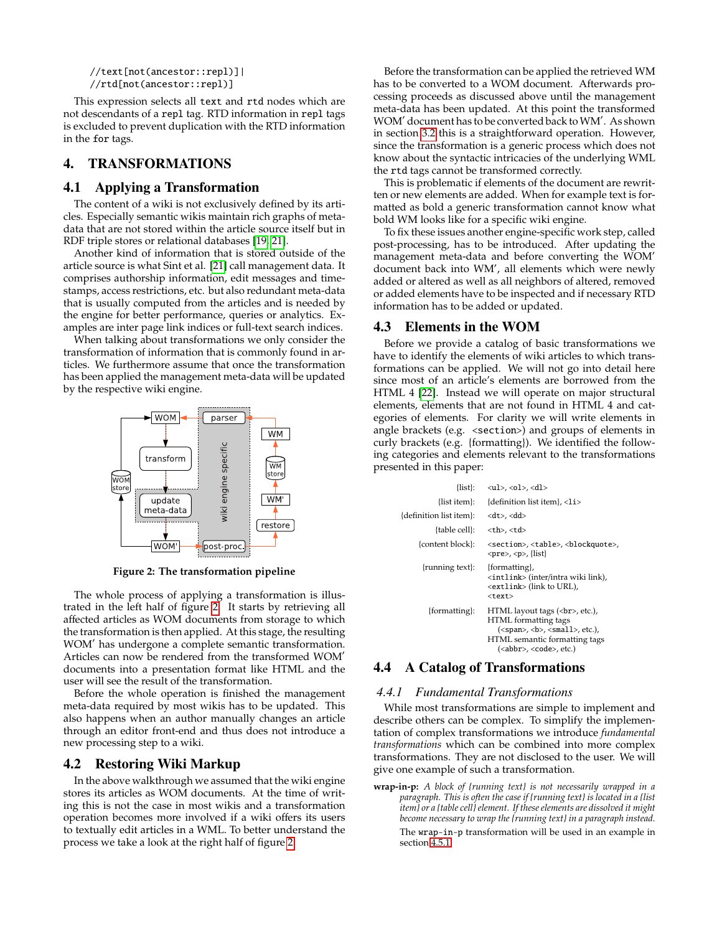```
//text[not(ancestor::repl)]|
//rtd[not(ancestor::repl)]
```
This expression selects all text and rtd nodes which are not descendants of a repl tag. RTD information in repl tags is excluded to prevent duplication with the RTD information in the for tags.

# <span id="page-4-0"></span>4. TRANSFORMATIONS

# 4.1 Applying a Transformation

The content of a wiki is not exclusively defined by its articles. Especially semantic wikis maintain rich graphs of metadata that are not stored within the article source itself but in RDF triple stores or relational databases [\[19,](#page-9-11) [21\]](#page-9-22).

Another kind of information that is stored outside of the article source is what Sint et al. [\[21\]](#page-9-22) call management data. It comprises authorship information, edit messages and timestamps, access restrictions, etc. but also redundant meta-data that is usually computed from the articles and is needed by the engine for better performance, queries or analytics. Examples are inter page link indices or full-text search indices.

When talking about transformations we only consider the transformation of information that is commonly found in articles. We furthermore assume that once the transformation has been applied the management meta-data will be updated by the respective wiki engine.



**Figure 2: The transformation pipeline**

The whole process of applying a transformation is illustrated in the left half of figure [2.](#page-4-1) It starts by retrieving all affected articles as WOM documents from storage to which the transformation is then applied. At this stage, the resulting WOM' has undergone a complete semantic transformation. Articles can now be rendered from the transformed WOM' documents into a presentation format like HTML and the user will see the result of the transformation.

Before the whole operation is finished the management meta-data required by most wikis has to be updated. This also happens when an author manually changes an article through an editor front-end and thus does not introduce a new processing step to a wiki.

# 4.2 Restoring Wiki Markup

In the above walkthrough we assumed that the wiki engine stores its articles as WOM documents. At the time of writing this is not the case in most wikis and a transformation operation becomes more involved if a wiki offers its users to textually edit articles in a WML. To better understand the process we take a look at the right half of figure [2.](#page-4-1)

Before the transformation can be applied the retrieved WM has to be converted to a WOM document. Afterwards processing proceeds as discussed above until the management meta-data has been updated. At this point the transformed WOM' document has to be converted back to WM'. As shown in section [3.2](#page-2-2) this is a straightforward operation. However, since the transformation is a generic process which does not know about the syntactic intricacies of the underlying WML the rtd tags cannot be transformed correctly.

This is problematic if elements of the document are rewritten or new elements are added. When for example text is formatted as bold a generic transformation cannot know what bold WM looks like for a specific wiki engine.

To fix these issues another engine-specific work step, called post-processing, has to be introduced. After updating the management meta-data and before converting the WOM' document back into WM', all elements which were newly added or altered as well as all neighbors of altered, removed or added elements have to be inspected and if necessary RTD information has to be added or updated.

#### 4.3 Elements in the WOM

Before we provide a catalog of basic transformations we have to identify the elements of wiki articles to which transformations can be applied. We will not go into detail here since most of an article's elements are borrowed from the HTML 4 [\[22\]](#page-9-19). Instead we will operate on major structural elements, elements that are not found in HTML 4 and categories of elements. For clarity we will write elements in angle brackets (e.g. <section>) and groups of elements in curly brackets (e.g. {formatting}). We identified the following categories and elements relevant to the transformations presented in this paper:

<span id="page-4-1"></span>

| {list}:                 | $\langle ul \rangle$ , $\langle ol \rangle$ , $\langle dl \rangle$                                                                                                  |             |  |  |  |
|-------------------------|---------------------------------------------------------------------------------------------------------------------------------------------------------------------|-------------|--|--|--|
| {list item}:            | {definition list item}, <1i>                                                                                                                                        |             |  |  |  |
| {definition list item}: | <dt>.<dd></dd></dt>                                                                                                                                                 |             |  |  |  |
| {table cell}:           | <th>. <td></td></th>                                                                                                                                                | . <td></td> |  |  |  |
| {content block}:        | <section>,<table>,<blockquote>,<br/><math>&lt;</math>pre&gt;, <math>&lt;</math>p&gt;, {list}</blockquote></table></section>                                         |             |  |  |  |
| {running text}:         | {formatting},<br><intlink> (inter/intra wiki link),<br/><extlink> (link to URL),<br/><math>&lt;</math>text<math>&gt;</math></extlink></intlink>                     |             |  |  |  |
| {formatting}:           | HTML layout tags (<br>, etc.),<br><b>HTML</b> formatting tags<br>$($ , $b$ , $1$ , etc.),<br>HTML semantic formatting tags<br>( <abbr>, <code>, etc.)</code></abbr> |             |  |  |  |

# 4.4 A Catalog of Transformations

#### <span id="page-4-2"></span>*4.4.1 Fundamental Transformations*

While most transformations are simple to implement and describe others can be complex. To simplify the implementation of complex transformations we introduce *fundamental transformations* which can be combined into more complex transformations. They are not disclosed to the user. We will give one example of such a transformation.

**wrap-in-p:** *A block of {running text} is not necessarily wrapped in a paragraph. This is often the case if {running text} is located in a {list item} or a {table cell} element. If these elements are dissolved it might become necessary to wrap the {running text} in a paragraph instead.* The wrap-in-p transformation will be used in an example in section [4.5.1.](#page-5-0)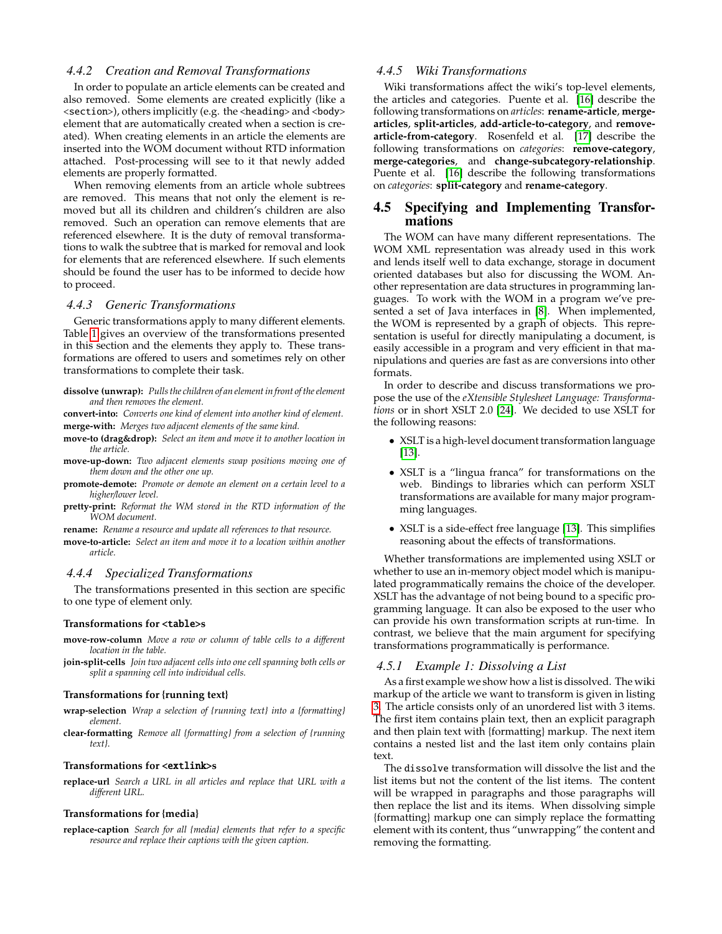# *4.4.2 Creation and Removal Transformations*

In order to populate an article elements can be created and also removed. Some elements are created explicitly (like a <section>), others implicitly (e.g. the <heading> and <body> element that are automatically created when a section is created). When creating elements in an article the elements are inserted into the WOM document without RTD information attached. Post-processing will see to it that newly added elements are properly formatted.

When removing elements from an article whole subtrees are removed. This means that not only the element is removed but all its children and children's children are also removed. Such an operation can remove elements that are referenced elsewhere. It is the duty of removal transformations to walk the subtree that is marked for removal and look for elements that are referenced elsewhere. If such elements should be found the user has to be informed to decide how to proceed.

#### *4.4.3 Generic Transformations*

Generic transformations apply to many different elements. Table [1](#page-6-0) gives an overview of the transformations presented in this section and the elements they apply to. These transformations are offered to users and sometimes rely on other transformations to complete their task.

**dissolve (unwrap):** *Pulls the children of an element in front of the element and then removes the element.*

**convert-into:** *Converts one kind of element into another kind of element.* **merge-with:** *Merges two adjacent elements of the same kind.*

- **move-to (drag&drop):** *Select an item and move it to another location in the article.*
- **move-up-down:** *Two adjacent elements swap positions moving one of them down and the other one up.*
- **promote-demote:** *Promote or demote an element on a certain level to a higher*/*lower level.*
- **pretty-print:** *Reformat the WM stored in the RTD information of the WOM document.*

**rename:** *Rename a resource and update all references to that resource.*

**move-to-article:** *Select an item and move it to a location within another article.*

#### *4.4.4 Specialized Transformations*

The transformations presented in this section are specific to one type of element only.

#### **Transformations for** <table>**s**

**move-row-column** *Move a row or column of table cells to a di*ff*erent location in the table.*

**join-split-cells** *Join two adjacent cells into one cell spanning both cells or split a spanning cell into individual cells.*

#### **Transformations for {running text}**

**wrap-selection** *Wrap a selection of {running text} into a {formatting} element.*

**clear-formatting** *Remove all {formatting} from a selection of {running text}*.

#### **Transformations for** <extlink>**s**

**replace-url** *Search a URL in all articles and replace that URL with a di*ff*erent URL.*

#### **Transformations for {media}**

**replace-caption** *Search for all {media} elements that refer to a specific resource and replace their captions with the given caption.*

#### <span id="page-5-1"></span>*4.4.5 Wiki Transformations*

Wiki transformations affect the wiki's top-level elements, the articles and categories. Puente et al. [\[16\]](#page-9-5) describe the following transformations on *articles*: **rename-article**, **mergearticles**, **split-articles**, **add-article-to-category**, and **removearticle-from-category**. Rosenfeld et al. [\[17\]](#page-9-6) describe the following transformations on *categories*: **remove-category**, **merge-categories**, and **change-subcategory-relationship**. Puente et al. [\[16\]](#page-9-5) describe the following transformations on *categories*: **split-category** and **rename-category**.

# 4.5 Specifying and Implementing Transformations

The WOM can have many different representations. The WOM XML representation was already used in this work and lends itself well to data exchange, storage in document oriented databases but also for discussing the WOM. Another representation are data structures in programming languages. To work with the WOM in a program we've presented a set of Java interfaces in [\[8\]](#page-9-15). When implemented, the WOM is represented by a graph of objects. This representation is useful for directly manipulating a document, is easily accessible in a program and very efficient in that manipulations and queries are fast as are conversions into other formats.

In order to describe and discuss transformations we propose the use of the *eXtensible Stylesheet Language: Transformations* or in short XSLT 2.0 [\[24\]](#page-9-23). We decided to use XSLT for the following reasons:

- XSLT is a high-level document transformation language [\[13\]](#page-9-24).
- XSLT is a "lingua franca" for transformations on the web. Bindings to libraries which can perform XSLT transformations are available for many major programming languages.
- XSLT is a side-effect free language [\[13\]](#page-9-24). This simplifies reasoning about the effects of transformations.

Whether transformations are implemented using XSLT or whether to use an in-memory object model which is manipulated programmatically remains the choice of the developer. XSLT has the advantage of not being bound to a specific programming language. It can also be exposed to the user who can provide his own transformation scripts at run-time. In contrast, we believe that the main argument for specifying transformations programmatically is performance.

#### <span id="page-5-0"></span>*4.5.1 Example 1: Dissolving a List*

As a first example we show how a list is dissolved. The wiki markup of the article we want to transform is given in listing [3.](#page-7-0) The article consists only of an unordered list with 3 items. The first item contains plain text, then an explicit paragraph and then plain text with {formatting} markup. The next item contains a nested list and the last item only contains plain text.

The dissolve transformation will dissolve the list and the list items but not the content of the list items. The content will be wrapped in paragraphs and those paragraphs will then replace the list and its items. When dissolving simple {formatting} markup one can simply replace the formatting element with its content, thus "unwrapping" the content and removing the formatting.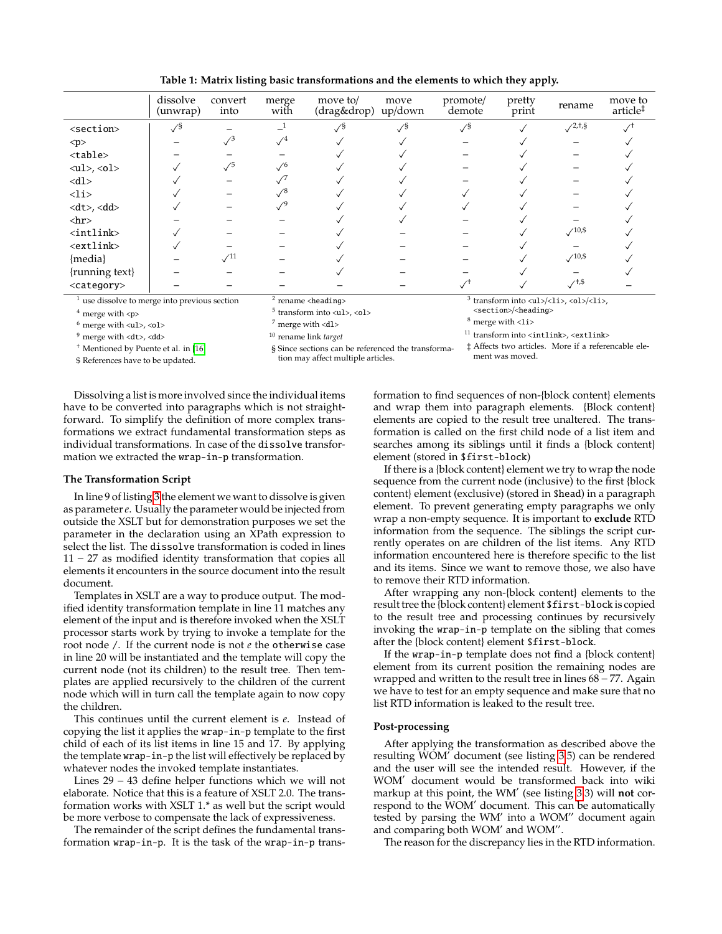<span id="page-6-0"></span>

|                                          | dissolve<br>(unwrap) | convert<br>into | merge<br>with | move to/<br>(drag&drop) up/down | move          | promote/<br>demote | pretty<br>print | rename               | move to<br>article <sup>‡</sup> |
|------------------------------------------|----------------------|-----------------|---------------|---------------------------------|---------------|--------------------|-----------------|----------------------|---------------------------------|
| $<$ section $>$                          | $\sqrt{8}$           |                 |               | $\sqrt{8}$                      | $\mathcal{S}$ | $\sqrt{8}$         |                 | $\sqrt{2.18}$        | $\sqrt{t}$                      |
| < p >                                    |                      | 73              | $\frac{1}{4}$ |                                 |               |                    |                 |                      |                                 |
| $<$ table $>$                            |                      |                 |               |                                 |               |                    |                 |                      |                                 |
| $\langle ul \rangle, \langle ol \rangle$ |                      | 75              | 76            |                                 |               |                    |                 |                      |                                 |
| $<$ dl>                                  |                      |                 |               |                                 |               |                    |                 |                      |                                 |
| $\langle$ li>                            |                      |                 | 78            |                                 |               |                    |                 |                      |                                 |
| <dt>, <dd></dd>                          |                      |                 |               |                                 |               |                    |                 |                      |                                 |
| $\langle hr \rangle$                     |                      |                 |               |                                 |               |                    |                 |                      |                                 |
| $<$ intlink $>$                          |                      |                 |               |                                 |               |                    |                 | $\surd 10,\$         |                                 |
| $<$ extlink $>$                          |                      |                 |               |                                 |               |                    |                 |                      |                                 |
| {media}                                  |                      | /11             |               |                                 |               |                    |                 | $\sqrt{^{10,9}}$     |                                 |
| {running text}                           |                      |                 |               |                                 |               |                    |                 |                      |                                 |
| <category></category>                    |                      |                 |               |                                 |               |                    |                 | $\checkmark^{+, \$}$ |                                 |

**Table 1: Matrix listing basic transformations and the elements to which they apply.**

<sup>1</sup> use dissolve to merge into previous section <sup>2</sup> rename <heading>

 $^4$  merge with  $<\!\!{\rm p}\!\!>$ 

 $^6$  merge with <ul>, <ol>

 $9$  merge with <dt>, <dd>

<sup>10</sup> rename link *target*

<sup>5</sup> transform into <ul>, <ol>  $^7$  merge with  $<$ dl $>$ 

† Mentioned by Puente et al. in [\[16\]](#page-9-5)

\$ References have to be updated.

§ Since sections can be referenced the transformation may affect multiple articles.

 $8$  merge with  $\langle$ 1i>

 $^{11}$  transform into  $<$ intlink>, $<$ extlink>

<sup>3</sup> transform into <ul>/<li>, <ol>/<li>,

‡ Affects two articles. More if a referencable element was moved.

Dissolving a list is more involved since the individual items have to be converted into paragraphs which is not straightforward. To simplify the definition of more complex transformations we extract fundamental transformation steps as individual transformations. In case of the dissolve transformation we extracted the wrap-in-p transformation.

#### **The Transformation Script**

In line 9 of listing [3](#page-7-0) the element we want to dissolve is given as parameter*e*. Usually the parameter would be injected from outside the XSLT but for demonstration purposes we set the parameter in the declaration using an XPath expression to select the list. The dissolve transformation is coded in lines 11 − 27 as modified identity transformation that copies all elements it encounters in the source document into the result document.

Templates in XSLT are a way to produce output. The modified identity transformation template in line 11 matches any element of the input and is therefore invoked when the XSLT processor starts work by trying to invoke a template for the root node /. If the current node is not *e* the otherwise case in line 20 will be instantiated and the template will copy the current node (not its children) to the result tree. Then templates are applied recursively to the children of the current node which will in turn call the template again to now copy the children.

This continues until the current element is *e*. Instead of copying the list it applies the wrap-in-p template to the first child of each of its list items in line 15 and 17. By applying the template wrap-in-p the list will effectively be replaced by whatever nodes the invoked template instantiates.

Lines 29 − 43 define helper functions which we will not elaborate. Notice that this is a feature of XSLT 2.0. The transformation works with XSLT 1.\* as well but the script would be more verbose to compensate the lack of expressiveness.

The remainder of the script defines the fundamental transformation wrap-in-p. It is the task of the wrap-in-p transformation to find sequences of non-{block content} elements and wrap them into paragraph elements. {Block content} elements are copied to the result tree unaltered. The transformation is called on the first child node of a list item and searches among its siblings until it finds a {block content} element (stored in \$first-block)

<section>/<heading>

If there is a {block content} element we try to wrap the node sequence from the current node (inclusive) to the first {block content} element (exclusive) (stored in \$head) in a paragraph element. To prevent generating empty paragraphs we only wrap a non-empty sequence. It is important to **exclude** RTD information from the sequence. The siblings the script currently operates on are children of the list items. Any RTD information encountered here is therefore specific to the list and its items. Since we want to remove those, we also have to remove their RTD information.

After wrapping any non-{block content} elements to the result tree the {block content} element \$first-block is copied to the result tree and processing continues by recursively invoking the wrap-in-p template on the sibling that comes after the {block content} element \$first-block.

If the wrap-in-p template does not find a {block content} element from its current position the remaining nodes are wrapped and written to the result tree in lines 68 − 77. Again we have to test for an empty sequence and make sure that no list RTD information is leaked to the result tree.

#### **Post-processing**

After applying the transformation as described above the resulting WOM' document (see listing [3.](#page-7-0)5) can be rendered and the user will see the intended result. However, if the WOM' document would be transformed back into wiki markup at this point, the WM' (see listing [3.](#page-7-0)3) will **not** correspond to the WOM' document. This can be automatically tested by parsing the WM' into a WOM" document again and comparing both WOM' and WOM".

The reason for the discrepancy lies in the RTD information.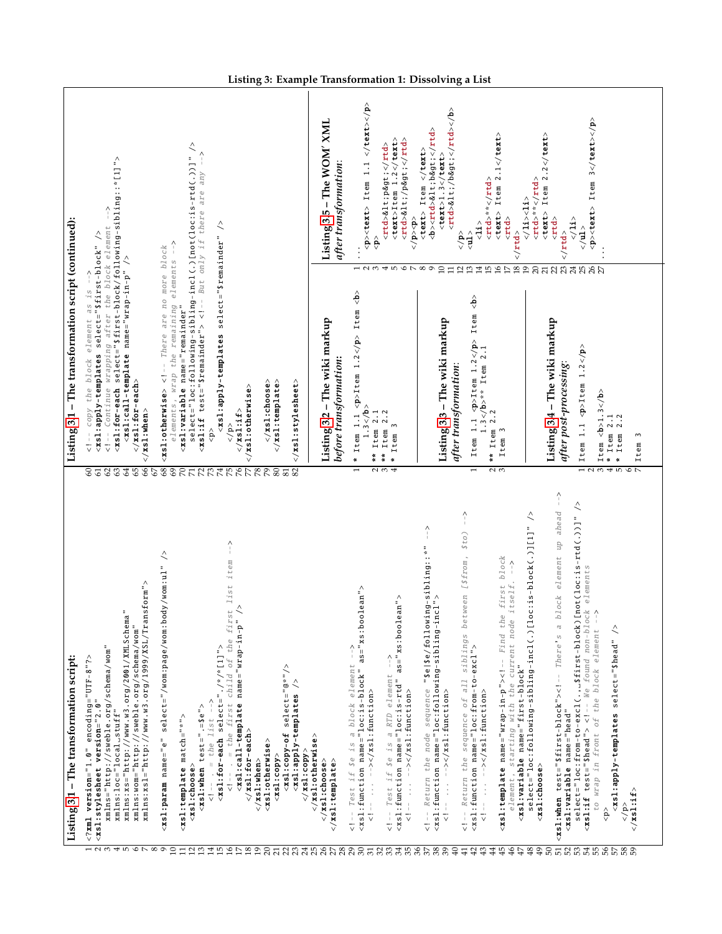<span id="page-7-0"></span>

|                                                      |                                                                                                                                                                                                                                                                                                                                                                                                                                                                                                                        | $\begin{smallmatrix} \wedge \  \  \  \, \circ \end{smallmatrix}$                                                                                                                                                                                                                                                                                                                                                                                                                                                                                                                                                                                                                                                                                                                                                                                                                                                                                             | Listing 3.5 - The WOM' XML<br>after transformation:                                   | $\langle p \rangle$ <text> Item 1.1 </text><br>$lt$ text>Item 1.2<br><rtd>&lt;/p&gt;</rtd><br><rtd>&lt;p&gt;</rtd><br><ά><ά∕><br>$\hat{\mathbf{e}}$<br>1239900000                                                                                                                                                                                                                                                                                                                                                                                                                                                                          | <rtd>&lt;/b&gt;</rtd><br><b><rtd>&lt;b&gt;</rtd><br/><math>lt</math>text&gt; Item 2.1<br/><text> Item </text><br/><math>lt</math>text&gt;1.3<br/><rtd>**</rtd><br/><math>\langle</math>rtd&gt;<br/><math>\langle 11 \rangle</math><br/><math>\langle</math>/rtd&gt;<br/><math>\leq</math>ul&gt;<br/><math display="inline">\stackrel{\wedge}{\leq} {\bf p}</math><br/><math>\frac{18}{19}</math><br/>manang</b>                                                                                                                                                                                                                                                                                                                                                                                                                                                                     | <p><text> Item 3</text></p><br><text> Item 2.2</text><br><rtd>**</rtd><br>$\langle 11 \rangle \langle 11 \rangle$<br>$<$ rtd><br>$\langle 11 \rangle$<br>$\langle \rangle$ ul $\rangle$<br><br>23<br>$\overline{c}$<br>25827<br>$\overline{21}$<br>22                                                                                                                                                                                                                                                                                                                                                                                                                                                                                                                                                                                                              |
|------------------------------------------------------|------------------------------------------------------------------------------------------------------------------------------------------------------------------------------------------------------------------------------------------------------------------------------------------------------------------------------------------------------------------------------------------------------------------------------------------------------------------------------------------------------------------------|--------------------------------------------------------------------------------------------------------------------------------------------------------------------------------------------------------------------------------------------------------------------------------------------------------------------------------------------------------------------------------------------------------------------------------------------------------------------------------------------------------------------------------------------------------------------------------------------------------------------------------------------------------------------------------------------------------------------------------------------------------------------------------------------------------------------------------------------------------------------------------------------------------------------------------------------------------------|---------------------------------------------------------------------------------------|--------------------------------------------------------------------------------------------------------------------------------------------------------------------------------------------------------------------------------------------------------------------------------------------------------------------------------------------------------------------------------------------------------------------------------------------------------------------------------------------------------------------------------------------------------------------------------------------------------------------------------------------|-------------------------------------------------------------------------------------------------------------------------------------------------------------------------------------------------------------------------------------------------------------------------------------------------------------------------------------------------------------------------------------------------------------------------------------------------------------------------------------------------------------------------------------------------------------------------------------------------------------------------------------------------------------------------------------------------------------------------------------------------------------------------------------------------------------------------------------------------------------------------------------|--------------------------------------------------------------------------------------------------------------------------------------------------------------------------------------------------------------------------------------------------------------------------------------------------------------------------------------------------------------------------------------------------------------------------------------------------------------------------------------------------------------------------------------------------------------------------------------------------------------------------------------------------------------------------------------------------------------------------------------------------------------------------------------------------------------------------------------------------------------------|
| Listing 3.1 - The transformation script (continued): | Continue wrapping after the block element<br><xsl:for-each select="\$first-block/following-sibling::*[1]"><br/>select="\$first-block" /&gt;<br/><xs1:call-template name="wrap-in-p"></xs1:call-template><br/>S ŗ.<br/>block element as<br/><xs1:apply-templates<br><math>\langle xs1:for-each \rangle</math><br/>copy the<br/><math>\langle</math>/xsl:when&gt;<br/><math display="inline">\frac{1}{\sqrt{2}}</math><br/><math>rac{6}{6}</math><br/>348<br/>62<br/>ලි <u>උ</u></xs1:apply-templates<br></xsl:for-each> | select="loc:following-sibling-incl(.)[not(loc:is-rtd(.))]" /><br>$\times$ xsl:if test="\$remainder"> <!-- But only if there are any<br> $\langle x \, s1 : app1y - temp1ates \; se1ect = "Sremainder" \rangle$<br>elements, wrap the remaining elements $\neg$<br>$\leq x$ sl:variable name="remainder"<br>There are no more block<br>$\frac{1}{\sqrt{2}}$<br>$\langle$ /xsl:template><br>$\langle$ / xsl: choose><br><br>$\langle$ /xsl:otherwise><br><xsl:otherwise><br/><math>\langle xs1:i1\rangle</math><br/><math>\langle p \rangle</math><br/><p><br/><b>88RERRE</b><br/><b>RRFR</b><br/><math>\frac{8}{8}</math><br/>82</p></xsl:otherwise>                                                                                                                                                                                                                                                                                                          | Listing 3.2 - The wiki markup<br>before transformation:                               | Item 1.1 <p>Item 1.2</p> Item<br><br><br><br><br><br><br><br><br><br><br><br><br><br><br><br><br><br><br><br><br><br><br><br><br><br><br><br><br><br><br><br><br>1.3 < b<br>** Item 2.1<br>** Item 2.2<br>* Item 3<br>×<br>$\sim$ $\sim$<br>4<br>T                                                                                                                                                                                                                                                                                                                                                                                         | $\frac{6}{9}$<br>Item<br>Listing 3.3 - The wiki markup<br>Item 1.1 <p>Item 1.2</p><br>$1.3 < /b>^{***}$ Item 2.1<br>after transformation:<br>** Item 2.2<br>Item 3<br>$\sim$ $\sim$<br>$\overline{ }$                                                                                                                                                                                                                                                                                                                                                                                                                                                                                                                                                                                                                                                                               | Listing 3.4 - The wiki markup<br>Item 1.1 < $p$ >Item 1.2 < $p$<br>after post-processing<br>Item<br><br>b>1.3<br>* Item 2.1<br>2.2<br>Item<br>Item 3<br>                                                                                                                                                                                                                                                                                                                                                                                                                                                                                                                                                                                                                                                                                                           |
| - The transformation script:<br>Listing 3.1          | $x$ mlns: $x$ sl="http://www.w3.org/1999/XSL/Transform"><br>$\frac{1}{\sqrt{2}}$<br>xmlns:xs="http://www.w3.org/2001/XMLSchem<br>xmlns:wom="http://sweble.org/schema/wom"<br><xs1:stylesheet <br="" version="2.0">xmlns="http://sweble.org/schema/wom"<br/><math>encoding="UTF-8"</math>?&gt;<br/>xmlns:loc="local_stuff"<br/><math>\langle</math>?xml version="1.0"</xs1:stylesheet>                                                                                                                                  | $\begin{smallmatrix} \wedge \cr + \cr + \end{smallmatrix}$<br>$\hat{\phantom{a}}$<br>list item<br>$<$ xs1:param name="e" select="/wom:page/wom:body/wom:ul"<br>$\hat{\phantom{0}}$<br>5t<br>the first child of the fir<br><xs1:call-template <br="" name="wrap-in-p"><math>\langle x s1 : \texttt{for-each} \texttt{select} = "\ .\rangle^* / \rangle^*</math><br/>select="@*"/&gt;<br/><math>&lt;</math>xsl:apply-templates /&gt;<br/><math>=</math> the list <math>-</math>&gt;<br/><math>&lt;</math>xsl:when test = ". = \$e" &gt;<br/><xsl:template match="*"><br/><math>\langle xs1:for-each \rangle</math><br/><math>\times</math>xsl:copy-of<br/><xsl:otherwise><br/><math>&lt;</math>xsl:copy&gt;<br/><math>\langle xsl.</math> Tas <math>l:</math> when <math>\rangle</math><br/>1<br/><math>\times</math>xsl:choose&gt;<br/><math>\frac{1}{\sqrt{2}}</math><br/><math>\frac{1}{\sqrt{2}}</math></xsl:otherwise></xsl:template></xs1:call-template> | $\langle$ /xsl:otherwise><br>$\langle xs1:copy \rangle$<br>$\langle$ /xsl:choose><br> | <xsl:function as="xs:boolean" name="loc:is-block"><br/>ean'' &gt;<br/><math>as="x_s:bool</math><br/><math>\begin{array}{c}\n\wedge \\ \hline\n\end{array}</math><br/><math>\begin{matrix} 1 \\ 1 \end{matrix}</math><br/>Test if \$e is a block element<br/>&lt;!-- Test if \$e is a RTD element&lt;br&gt;<xs1:function a<br="" name="loc:is-rtd"><math>--&gt;&lt;</math>/xsl:function&gt;<br/><math>--&gt;&lt;</math>/xsl:function&gt;<br/><math>\ddot{\cdot}</math><br/><math>\vdots</math><br/><math display="inline">\frac{1}{\sqrt{2}}</math><br/><math>\overline{\vee}</math><br/><math>\vec{v}</math></xs1:function></xsl:function> | $\begin{matrix} \uparrow \\ \downarrow \end{matrix}$<br>$\begin{smallmatrix} \wedge \cr \vdots \cr \end{smallmatrix}$<br>(0.25)<br>ing-sibling::*"<br>ncl"><br>first block<br>$[5\,from\,,$<br>$\hat{a}$<br>itself<br>between<br>Ü<br>element, starting with the current node<br>$\leq$ xsl:template name="wrap-in-p"><!-- Find th<br><!-- Return the node sequence "Se Se/follow<br> <xs1:function inline"="" name="loc:following-sibling-i&lt;br&gt;&lt;math display=">siblings<br/><xs1:function name="loc:from-to-excl"><br/><xs1:variable <br="" name="first-block">of all<br/><math>--&gt;&lt;</math>/xsl:function&gt;<br/><math>--&gt;&lt;</math>/xsl:function&gt;<br/>&lt;!-- Return the sequence&lt;br&gt;<math>\vdots</math><br/><math>\vdots</math><br/><math>\frac{1}{\sqrt{2}}</math><br/><math>\frac{1}{\sqrt{2}}</math></xs1:variable></xs1:function></xs1:function> | $\hat{\ }$<br>$\hat{\le}$<br>block element up ahead<br>$\stackrel{\scriptscriptstyle\wedge}{\scriptscriptstyle\sim}$<br>[not(loc:is-rtd(.))]"<br>$occ:is-block(.)[[1]]"$<br>ck elements<br>$\stackrel{\wedge}{\scriptstyle\, \, }$<br>:if test="\$head"> $lt1 - We$ found non-blo<br>to wrap in front of the block element -<br>select="loc:following-sibling-incl(.)[l<br>$select="c1$ . from-to-excl(., $s + 1$ st-block)<br>ą<br>$\stackrel{\wedge}{\phantom{}_{\sim}}$<br><xsl:when test="\$first-block">&lt;!-- There's&lt;br&gt;<xsl:apply-templates <br="" select="\$head"><xs1:variable <br="" name="head">test="\$head"&gt;<br/><xs1:choose><br/><math>\langle xs1:if\rangle</math><br/>&lt; x s 1 : i f<br/><math>\leqslant</math><br/><math>\frac{1}{2}</math><br/><b>\$\$\$5588368688</b></xs1:choose></xs1:variable></xsl:apply-templates></xsl:when> |

**Listing 3: Example Transformation 1: Dissolving a List**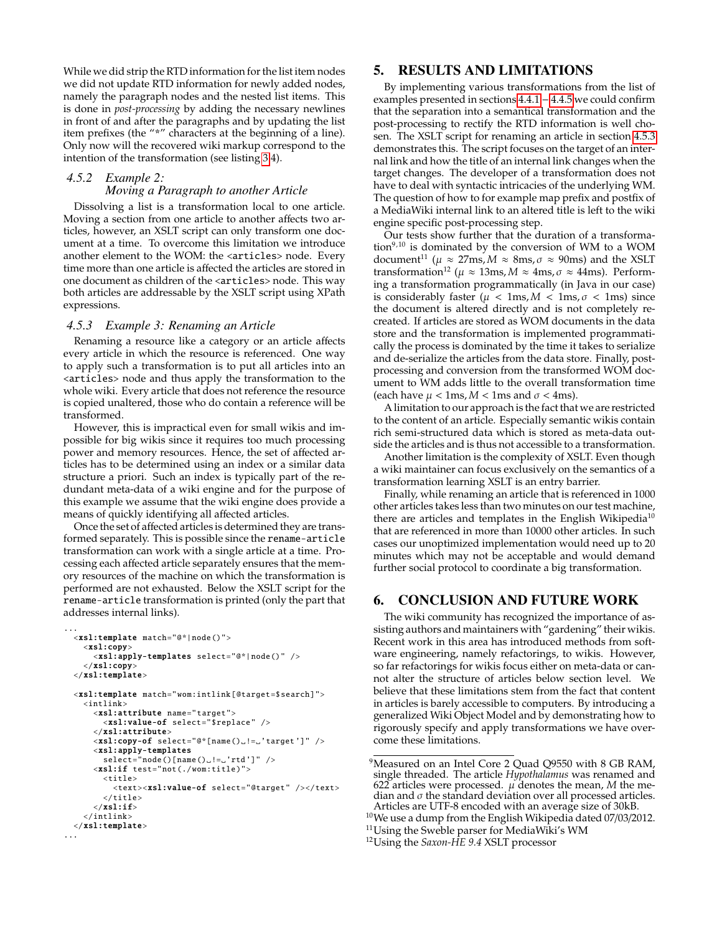While we did strip the RTD information for the list item nodes we did not update RTD information for newly added nodes, namely the paragraph nodes and the nested list items. This is done in *post-processing* by adding the necessary newlines in front of and after the paragraphs and by updating the list item prefixes (the "\*" characters at the beginning of a line). Only now will the recovered wiki markup correspond to the intention of the transformation (see listing [3.](#page-7-0)4).

#### *4.5.2 Example 2: Moving a Paragraph to another Article*

Dissolving a list is a transformation local to one article. Moving a section from one article to another affects two articles, however, an XSLT script can only transform one document at a time. To overcome this limitation we introduce another element to the WOM: the <articles> node. Every time more than one article is affected the articles are stored in one document as children of the <articles> node. This way both articles are addressable by the XSLT script using XPath expressions.

### <span id="page-8-2"></span>*4.5.3 Example 3: Renaming an Article*

Renaming a resource like a category or an article affects every article in which the resource is referenced. One way to apply such a transformation is to put all articles into an <articles> node and thus apply the transformation to the whole wiki. Every article that does not reference the resource is copied unaltered, those who do contain a reference will be transformed.

However, this is impractical even for small wikis and impossible for big wikis since it requires too much processing power and memory resources. Hence, the set of affected articles has to be determined using an index or a similar data structure a priori. Such an index is typically part of the redundant meta-data of a wiki engine and for the purpose of this example we assume that the wiki engine does provide a means of quickly identifying all affected articles.

Once the set of affected articles is determined they are transformed separately. This is possible since the rename-article transformation can work with a single article at a time. Processing each affected article separately ensures that the memory resources of the machine on which the transformation is performed are not exhausted. Below the XSLT script for the rename-article transformation is printed (only the part that addresses internal links).

```
...
 <xsl:template match="@*| node ()">
    <xsl:copy>
       <xsl:apply-templates select="@*| node ()" />
    \langle xsl:conv \rangle\langle xsl:template \rangle<xsl:template match=" wom:intlink [@target =$ search]">
    <intlink><xsl:attribute name="target">
         <xsl:value-of select="$replace" />
       </xsl:attribute>
       \langle xsl:copy-of \,\,\text{select} = "@*[name() \,. != \_ 'target')" />
```

```
<xsl:apply-templates
    select="node()[name()__!=_`rtd']" /><xsl:if test="not (./ wom:title )">
    <title><text ><xsl:value-of select="@target" /></text >
    \langle/title>
  \langle xsl:if\rangle\langle/intlink>
```
 $\langle xsl:template \rangle$ 

<span id="page-8-0"></span>5. RESULTS AND LIMITATIONS

By implementing various transformations from the list of examples presented in sections [4.4.1](#page-4-2) − [4.4.5](#page-5-1) we could confirm that the separation into a semantical transformation and the post-processing to rectify the RTD information is well chosen. The XSLT script for renaming an article in section [4.5.3](#page-8-2) demonstrates this. The script focuses on the target of an internal link and how the title of an internal link changes when the target changes. The developer of a transformation does not have to deal with syntactic intricacies of the underlying WM. The question of how to for example map prefix and postfix of a MediaWiki internal link to an altered title is left to the wiki engine specific post-processing step.

Our tests show further that the duration of a transformation $9,10$  is dominated by the conversion of WM to a WOM document<sup>11</sup> ( $\mu \approx 27$ ms,  $M \approx 8$ ms,  $\sigma \approx 90$ ms) and the XSLT transformation<sup>12</sup> ( $\mu \approx 13$ ms,  $M \approx 4$ ms,  $\sigma \approx 44$ ms). Performing a transformation programmatically (in Java in our case) is considerably faster ( $\mu$  < 1ms,  $M$  < 1ms,  $\sigma$  < 1ms) since the document is altered directly and is not completely recreated. If articles are stored as WOM documents in the data store and the transformation is implemented programmatically the process is dominated by the time it takes to serialize and de-serialize the articles from the data store. Finally, postprocessing and conversion from the transformed WOM document to WM adds little to the overall transformation time (each have  $\mu$  < 1ms,  $M$  < 1ms and  $\sigma$  < 4ms).

A limitation to our approach is the fact that we are restricted to the content of an article. Especially semantic wikis contain rich semi-structured data which is stored as meta-data outside the articles and is thus not accessible to a transformation.

Another limitation is the complexity of XSLT. Even though a wiki maintainer can focus exclusively on the semantics of a transformation learning XSLT is an entry barrier.

Finally, while renaming an article that is referenced in 1000 other articles takes less than two minutes on our test machine, there are articles and templates in the English Wikipedia<sup>10</sup> that are referenced in more than 10000 other articles. In such cases our unoptimized implementation would need up to 20 minutes which may not be acceptable and would demand further social protocol to coordinate a big transformation.

# <span id="page-8-1"></span>6. CONCLUSION AND FUTURE WORK

The wiki community has recognized the importance of assisting authors and maintainers with "gardening" their wikis. Recent work in this area has introduced methods from software engineering, namely refactorings, to wikis. However, so far refactorings for wikis focus either on meta-data or cannot alter the structure of articles below section level. We believe that these limitations stem from the fact that content in articles is barely accessible to computers. By introducing a generalized Wiki Object Model and by demonstrating how to rigorously specify and apply transformations we have overcome these limitations.

```
11Using the Sweble parser for MediaWiki's WM
```

```
12Using the Saxon-HE 9.4 XSLT processor
```
<sup>&</sup>lt;sup>9</sup>Measured on an Intel Core 2 Quad Q9550 with 8 GB RAM, single threaded. The article *Hypothalamus* was renamed and 622 articles were processed.  $\mu$  denotes the mean,  $M$  the median and  $\sigma$  the standard deviation over all processed articles. Articles are UTF-8 encoded with an average size of 30kB.

<sup>10</sup>We use a dump from the English Wikipedia dated 07/03/2012.